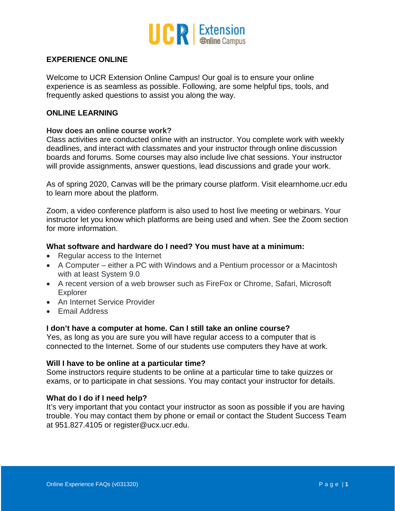

# **EXPERIENCE ONLINE**

Welcome to UCR Extension Online Campus! Our goal is to ensure your online experience is as seamless as possible. Following, are some helpful tips, tools, and frequently asked questions to assist you along the way.

## **ONLINE LEARNING**

#### **How does an online course work?**

Class activities are conducted online with an instructor. You complete work with weekly deadlines, and interact with classmates and your instructor through online discussion boards and forums. Some courses may also include live chat sessions. Your instructor will provide assignments, answer questions, lead discussions and grade your work.

As of spring 2020, Canvas will be the primary course platform. Visit elearnhome.ucr.edu to learn more about the platform.

Zoom, a video conference platform is also used to host live meeting or webinars. Your instructor let you know which platforms are being used and when. See the Zoom section for more information.

### **What software and hardware do I need? You must have at a minimum:**

- Regular access to the Internet
- A Computer either a PC with Windows and a Pentium processor or a Macintosh with at least System 9.0
- A recent version of a web browser such as FireFox or Chrome, Safari, Microsoft Explorer
- An Internet Service Provider
- Email Address

#### **I don't have a computer at home. Can I still take an online course?**

Yes, as long as you are sure you will have regular access to a computer that is connected to the Internet. Some of our students use computers they have at work.

#### **Will I have to be online at a particular time?**

Some instructors require students to be online at a particular time to take quizzes or exams, or to participate in chat sessions. You may contact your instructor for details.

### **What do I do if I need help?**

It's very important that you contact your instructor as soon as possible if you are having trouble. You may contact them by phone or email or contact the Student Success Team at 951.827.4105 or register@ucx.ucr.edu.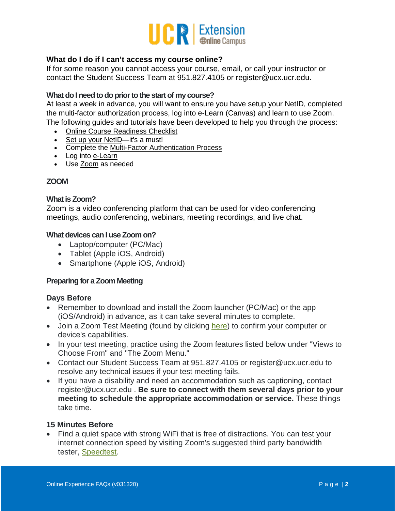

# **What do I do if I can't access my course online?**

If for some reason you cannot access your course, email, or call your instructor or contact the Student Success Team at 951.827.4105 or register@ucx.ucr.edu.

### **What do I need to do prior to the start of my course?**

At least a week in advance, you will want to ensure you have setup your NetID, completed the multi-factor authorization process, log into e-Learn (Canvas) and learn to use Zoom. The following guides and tutorials have been developed to help you through the process:

- Online Course [Readiness](http://www.extension.ucr.edu/pdf/misc/onlinecoursereadiness.pdf) Checklist
- Set up your [NetID—](https://vimeo.com/397539836)it's a must!
- Complete the Multi-Factor [Authentication](https://vimeo.com/397539352) Process
- Log into [e-Learn](https://vimeo.com/397538862)
- Use [Zoom](https://vimeo.com/397540308) as needed

## **ZOOM**

## **What is Zoom?**

Zoom is a video conferencing platform that can be used for video conferencing meetings, audio conferencing, webinars, meeting recordings, and live chat.

#### **What devices can I use Zoom on?**

- Laptop/computer (PC/Mac)
- Tablet (Apple iOS, Android)
- Smartphone (Apple iOS, Android)

## **Preparing for a Zoom Meeting**

#### **Days Before**

- Remember to download and install the Zoom launcher (PC/Mac) or the app (iOS/Android) in advance, as it can take several minutes to complete.
- Join a Zoom Test Meeting (found by clicking [here\)](https://zoom.us/test) to confirm your computer or device's capabilities.
- In your test meeting, practice using the Zoom features listed below under "Views to Choose From" and "The Zoom Menu."
- Contact our Student Success Team at 951.827.4105 or register@ucx.ucr.edu to resolve any technical issues if your test meeting fails.
- If you have a disability and need an accommodation such as captioning, contact register@ucx.ucr.edu . **Be sure to connect with them several days prior to your meeting to schedule the appropriate accommodation or service.** These things take time.

## **15 Minutes Before**

• Find a quiet space with strong WiFi that is free of distractions. You can test your internet connection speed by visiting Zoom's suggested third party bandwidth tester, [Speedtest.](http://beta.speedtest.net/)